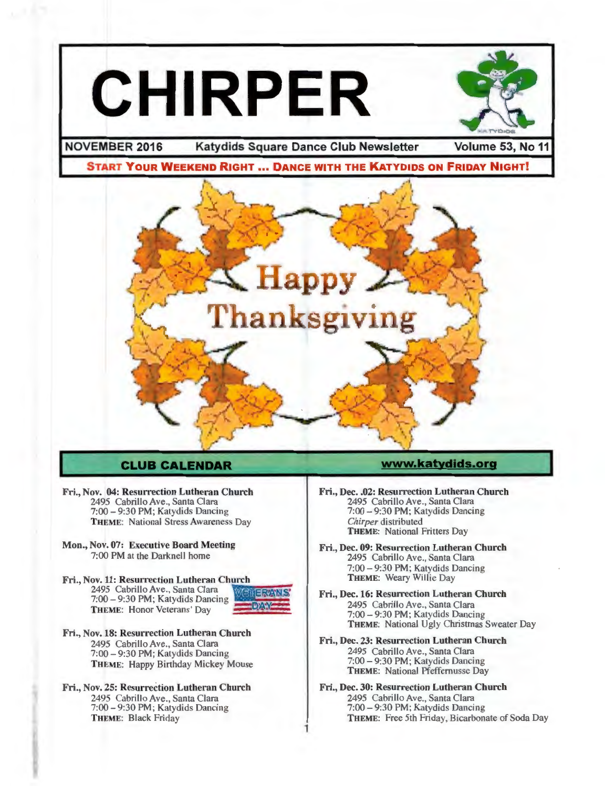# **CHIRPER**



**NOVEMBER 2016 Katydids Square Dance Club Newsletter Volume 53, No 11** 

**START YOUR WEEKEND RIGHT ... DANCE WITH THE KATYDIDS ON FRIDAY NIGHT!** 



#### **CLUB CALENDAR**

- Fri., Nov. 04: Resurrection Lutheran Church 2495 Cabrillo Ave., Santa Clara 7:00-9:30 PM; Katydids Dancing THEME: National Stress Awareness Day
- Mon., Nov. 07: Executive Board Meeting 7:00 PM at the Darknell home

Fri., Nov. 11: Resurrection Lutheran Church 2495 Cabrillo Ave., Santa Clara 7:00 - 9:30 PM; Katydids Dancing THEME: Honor Veterans' Day



1

- Fri., Nov. 18: Resurrection Lutheran Church 2495 Cabrillo Ave., Santa Clara 7:00-9:30 PM; Katydids Dancing THEME: Happy Birthday Mickey Mouse
- Fri., Nov. 25: Resurrection Lutheran Church 2495 Cabrillo Ave., Santa Clara 7:00-9:30 PM; Katydids Dancing THEME: Black Friday

#### **www.katydlds.org**

- Fri., Dec. .02: Resurrection Lutheran Church 2495 Cabrillo Ave., Santa Clara 7:00- 9:30 PM; Katydids Dancing *Chirper* distributed THEME: National Fritters Day
- Fri., Dec. 09: Resurrection Lutheran Church 2495 Cabrillo Ave., Santa Clara 7:00-9:30 PM ; Katydids Dancing THEME: Weary Willie Day
- Fri., Dec. 16: Resurrection Lutheran Church 2495 Cabrillo Ave., Santa Clara 7:00-9:30 PM ; Katydids Dancing THEME: National Ugly Christmas Sweater Day
- Fri., Dec. 23: Resurrection Lutheran Church 2495 Cabrillo Ave., Santa Clara 7:00-9:30 PM ; Katydids Dancing THEME: National Pfeffernusse Day
- Fri., Dec. 30: Resurrection Lutheran Church 2495 Cabrillo Ave., Santa Clara 7:00-9:30 PM ; Katydids Dancing THEME: Free 5th Friday, Bicarbonate of Soda Day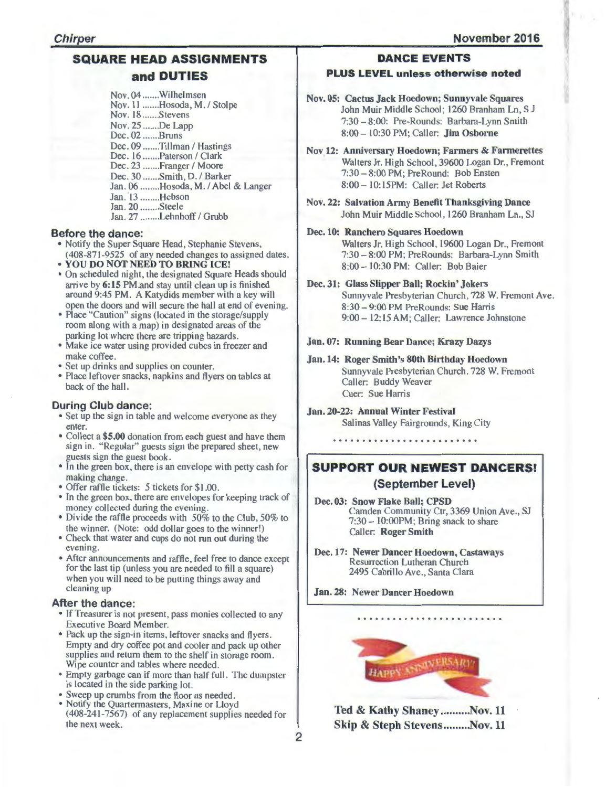#### SQUARE HEAD ASSIGNMENTS and DUTIES

Nov. 04 ....... Wilhelmsen Nov. 11 .......Hosoda, M. / Stolpe Nov. 18 ....... Stevens Nov. 25 ...... .De Lapp Dec. 02 ....... Bruns Dec. 09 .......Tillman / Hastings Dec. 16 .......Paterson / Clark Dec. 23 .......Franger / Moore Dec. 30 ....... Smith, D. / Barker Jan. 06 ........ Hosoda, M. I Abel & Langer Jan. 13 ........Hebson Jan . 20 ........ Steele Jan. 27 .........Lehnhoff / Grubb

#### Before the dance:

- Notify the Super Square Head, Stephanie Stevens, (408-87 1-9525 of any needed changes to assigned dates.
- YOU DO NOT NEED TO BRING ICE!
- On scheduled night, the designated Square Heads should arrive by 6:15 PM.and stay until clean up is finished around 9:45 PM. A Katydids member with a key will open the doors and will secure the hall at end of evening.
- Place "Caution" signs (located in the storage/supply room along with a map) in designated areas of the parking lot where there are tripping hazards.
- Make ice water using provided cubes in freezer and make coffee.
- Set up drinks and supplies on counter.
- Place leftover snacks, napkins and flyers on tables at back of the hall.

#### During Club dance:

- Set up the sign in table and welcome everyone as they enter.
- Collect a \$5.00 donation from each guest and have them sign in. "Regular" guests sign the prepared sheet, new guests sign the guest book.
- In the green box, there is an envelope with petty cash for making change.
- Offer raffle tickets: 5 tickets for \$1.00.
- In the green box, there are envelopes for keeping track of money collected during the evening.
- Divide the raffle proceeds with 50% to the Club, 50% to the winner. (Note: odd dollar goes to the winner!)
- Check that water and cups do not run out during the evening.
- After announcements and raffle, feel free to dance except for the last tip (unless you are needed to fill a square) when you will need to be putting things away and cleaning up

#### After the dance:

- If Treasurer is not present, pass monies collected to any Executive Board Member.
- Pack up the sign-in items, leftover snacks and flyers. Empty and dry coffee pot and cooler and pack up other supplies and return them to the shelf in storage room. Wipe counter and tables where needed.
- Empty garbage can if more than half full. The dumpster is located in the side parking lot.
- Sweep up crumbs from the floor as needed.
- Notify the Quartermasters, Maxine or Lloyd (408-241-7567) of any replacement supplies needed for the next week.

#### DANCE EVENTS

#### PLUS LEVEL unless otherwise noted

Nov. OS: Cactus Jack Hoedown; Sunnyvale Squares John Muir Middle School: 1260 Branham Ln, S J 7:30 - 8:00: Pre-Rounds: Barbara-Lynn Smith 8:00 - 10:30 PM; Caller: Jim Osborne

Nov 12: Anniversary Hoedown; Farmers & Farmerettes Walters Jr. High School, 39600 Logan Dr., Fremont 7:30- 8:00 PM; PreRound: Bob Ensten 8:00 - 10:15PM: Caller: Jet Roberts

- Nov. 22: Salvation Army Benefit Thanksgiving Dance John Muir Middle School, 1260 Branham Ln., SJ
- Dec. 10: Ranchero Squares Hoedown

Walters Jr. High School, 19600 Logan Dr., Fremont 7:30-8:00 PM; PreRounds: Barbara-Lynn Smith 8:00 - 10:30 PM: Caller: Bob Baier

- Dec. 31: Glass Slipper Ball; Rockin' Jokers
	- Sunnyvale Presbyterian Church, 728 W. Fremont Ave. 8:30 - 9:00 PM Pre Rounds: Sue Harris 9:00 - 12:15 AM: Caller: Lawrence Johnstone

#### Jan. 07: Running Bear Dance; Krazy Dazys

#### Jan. 14: Roger Smith's 80th Birthday Hoedown Sunnyvale Presbyterian Church. 728 W. Fremont Caller: Buddy Weaver Cuer: Sue Harris

Jan. 20-22: Annual Winter Festival Salinas Valley Fairgrounds, King City

#### SUPPORT OUR NEWEST DANCERS! (September Level)

- Dec. 03: Snow Flake Ball; CPSD Camden Community Ctr, 3369 Union Ave., SJ  $7:30 - 10:00$ PM; Bring snack to share Caller: Roger Smith
- Dec. 17: Newer Dancer Hoedown, Castaways Resurrection Lutheran Church 2495 Cabrillo Ave., Santa Clara

Jan. 28: Newer Dancer Hoedown



. . . . . . . . . . . .

Ted & Kathy Shaney .......... Nov. 11 Skip & Steph Stevens.........Nov. 11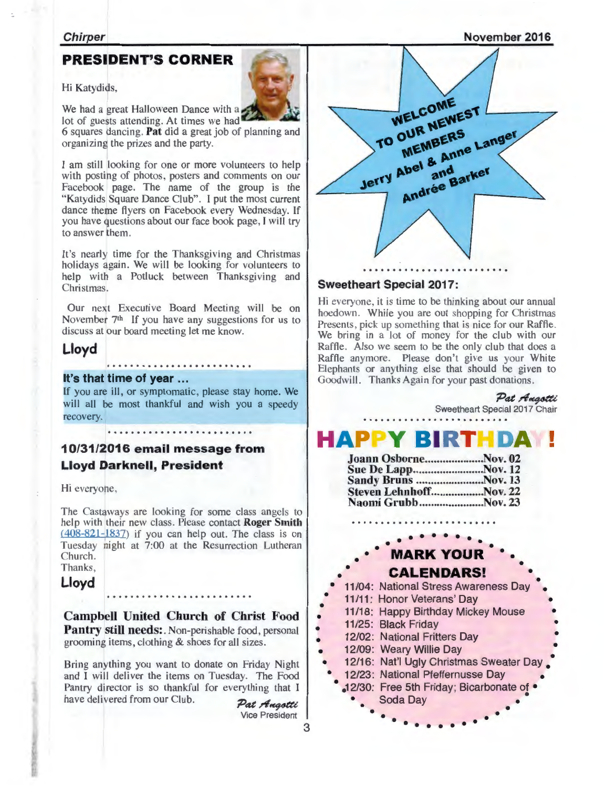November 2016

#### **PRESIDENT'S CORNER**

Hi Katydids,

We had a great Halloween Dance with a

lot of guests attending. At times we had 6 squares dancing. Pat did a great job of planning and organizing the prizes and the party.

I am still looking for one or more volunteers to help with posting of photos, posters and comments on our Facebook page. The name of the group is the "Katydids Square Dance Club". I put the most current dance theme flyers on Facebook every Wednesday. If you have questions about our face book page, I will try to answer them.

It's nearly time for the Thanksgiving and Christmas holidays again. We will be looking for volunteers to help with a Potluck between Thanksgiving and Christmas.

Our next Executive Board Meeting will be on November  $7<sup>th</sup>$  If you have any suggestions for us to discuss at our board meeting let me know.

## Lloyd ......................... It's that time of year ...

If you are ill, or symptomatic, please stay home. We will all be most thankful and wish you a speedy recovery.

10/31/2016 email message from Lloyd Darknell, President

Hi everyone.

The Castaways are looking for some class angels to help with their new class. Please contact **Roger Smith**  $(408-821-1837)$  if you can help out. The class is on Tuesday night at 7:00 at the Resurrection Lutheran Church. Thanks,

Lloyd

Campbell United Church of Christ Food Pantry still needs: Non-perishable food, personal grooming items, clothing & shoes for all sizes.

Bring anything you want to donate on Friday Night and I will deliver the items on Tuesday. The Food Pantry director is so thankful for everything that I have delivered from our Club. Pat Augstli

Vice President

3



#### Sweetheart Special 2017:

Hi everyone, it is time to be thinking about our annual hoedown. While you are out shopping for Christmas Presents, pick up something that is nice for our Raffle. We bring in a lot of money for the club with our Raffle. Also we seem to be the only club that does a Raffle anymore. Please don't give us your White Elephants or anything else that should be given to Goodwill. Thanks Again for your past donations.

## Sweetheart Special 2017 Chair **HAPPY BIRTHDAM!**

Pat Augotti

• • • • •

| Joann OsborneNov. 02   |  |
|------------------------|--|
|                        |  |
| Sandy Bruns Nov. 13    |  |
| Steven LehnhoffNov. 22 |  |
| Naomi GrubbNov. 23     |  |

## • • • • • • • • • • • • • **MARK YOUR** • • • **CALENDARS!** • • • • • 11 /04: National Stress Awareness Day •

- 11/11 : Honor Veterans' Day
- • 11/18: Happy Birthday Mickey Mouse
	- 11/25: Black Friday
- • 12/02: National Fritters Day
- 12/09: Weary Willie Day
- 12/16: Nat'l Ugly Christmas Sweater Day
	- 12/23: National Pfeffernusse Day • 12/30: Free 5th Friday; Bicarbonate of •<br>Soda Day Soda Day • • • • • • • • • • • • • •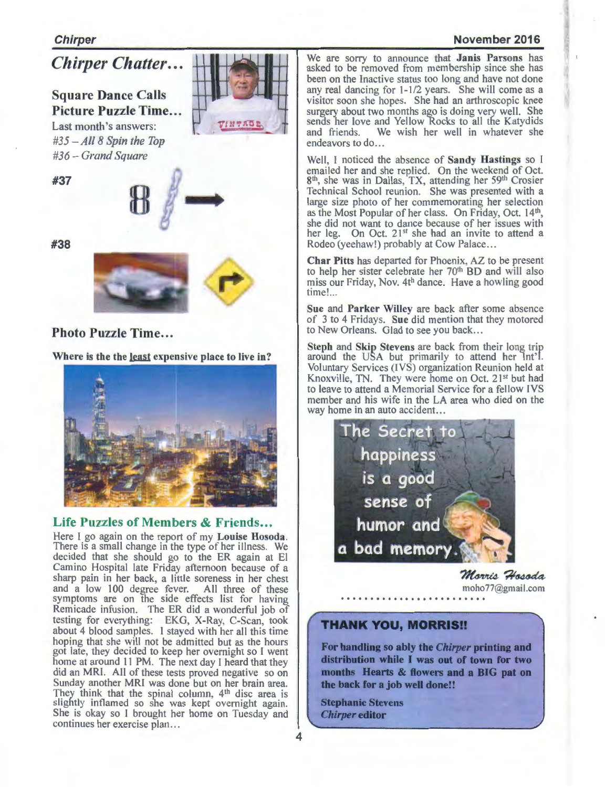#### **November 2016**

*Chirper Chatter ...* 

**Square Dance Calls**  Picture Puzzle Time... Last month's answers: *#35 - All8 Spin the Top #36- Grand Square* 

**#37** 



**#38** 



#### **Photo Puzzle Time...**

**Where is the the least expensive place to live in?** 



#### Life Puzzles of Members & Friends...

Here I go again on the report of my **Louise Hosoda.**  There is a small change in the type of her illness. We decided that she should go to the ER again at El Camino Hospital late Friday afternoon because of a sharp pain in her back, a little soreness in her chest and a low 100 degree fever. All three of these symptoms are on the side effects list for having Remicade infusion. The ER did a wonderful job of testing for everything: EKG, X-Ray, C-Scan, took about 4 blood samples. I stayed with her all this time hoping that she will not be admitted but as the hours got late, they decided to keep her overnight so I went home at around 11 PM. The next day I heard that they did an MRI. All of these tests proved negative so on Sunday another MRI was done but on her brain area. They think that the spinal column,  $4<sup>th</sup>$  disc area is slightly inflamed so she was kept overnight again. She is okay so I brought her home on Tuesday and continues her exercise plan...

We are sorry to announce that **Janis Parsons** has asked to be removed from membership since she has been on the Inactive status too long and have not done any real dancing for 1-1/2 years. She will come as a visitor soon she hopes. She had an arthroscopic knee surgery about two months ago is doing very well. She sends her love and Yellow Rocks to all the Katydids and friends. We wish her well in whatever she endeavors to do...

Well, I noticed the absence of **Sandy Hastings** so I emailed her and she replied. On the weekend of Oct. 8<sup>m</sup>, she was in Dallas, TX, attending her 59<sup>m</sup> Crosier Technical School reunion. She was presented with a large size photo of her commemorating her selection as the Most Popular of her class. On Friday, Oct. 14<sup>th</sup> she did not want to dance because of her issues with her leg. On Oct. 21<sup>st</sup> she had an invite to attend a Rodeo (yeehaw!) probably at Cow Palace...

**Char Pitts** has departed for Phoenix, AZ to be present to help her sister celebrate her 70<sup>th</sup> BD and will also miss our Friday, Nov. 4th dance. Have a howling good time! ...

**Sue** and **Parker Willey** are back after some absence of 3 to 4 Fridays. **Sue** did mention that they motored to New Orleans. Glad to see you back...

**Steph** and **Skip Stevens** are back from their long trip around the USA but primarily to attend her Int'l. Voluntary Services (JVS) organization Reunion held at Knoxville, TN. They were home on Oct. 21<sup>st</sup> but had to leave to attend a Memorial Service for a fellow IVS member and his wife in the LA area who died on the way home in an auto accident...



Morris Hosoda moho77@gmail.com

#### **THANK YOU, MORRISII**

**For handling so ably the** *Chirper* **printing and distribution while I was out of town for two months Hearts & flowers and a BIG pat on the back for a job well done!!** 

**Stephanie Stevens**  *Chirper* **editor**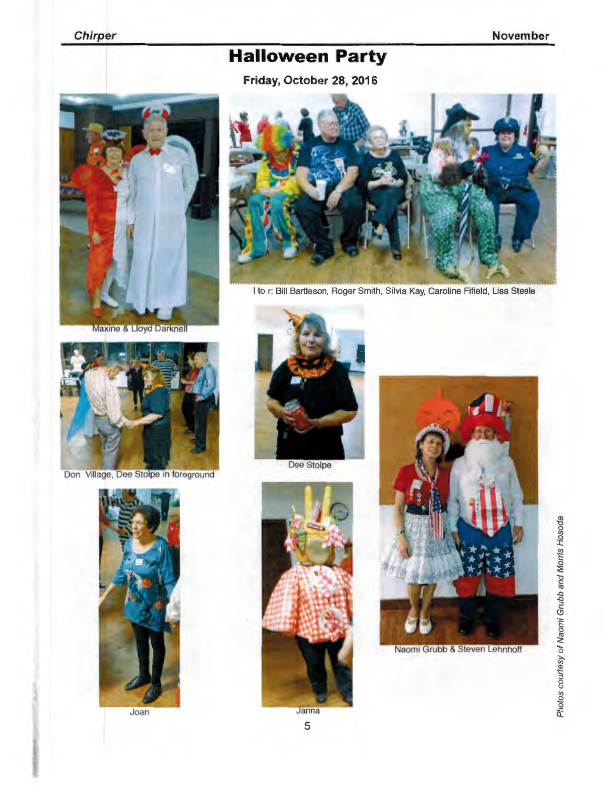## **Halloween Party**

**Friday, October 28, 2016** 



**Maxine & Lloyd Darknell** 



Don Village, Dee Stolpe in foreground











Naomi Grubb & Steven Lehnhoff

5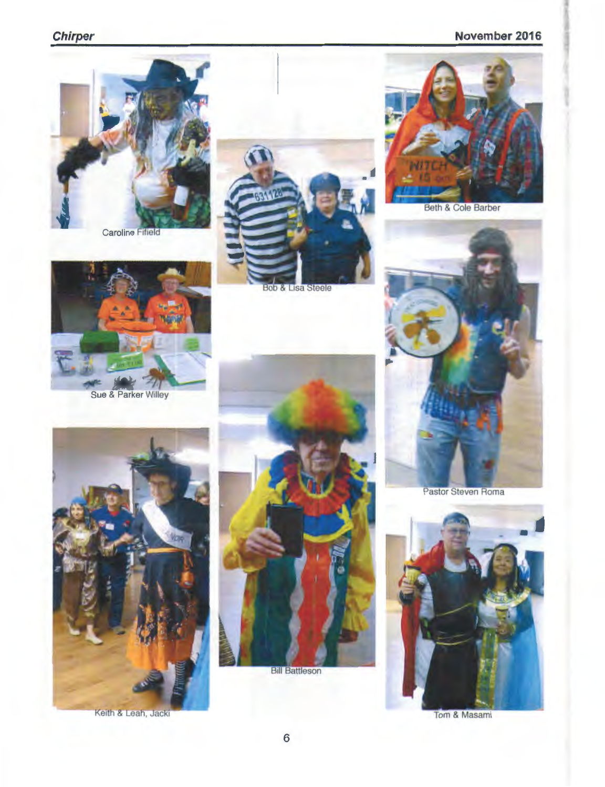### Chirper November 2016



**Caroline Fifield** 





**Beth & Cole Barber** 





**Bill Battleson** 



Pastor Steven Roma



Tom & Masami



Keith & Leah, Jacki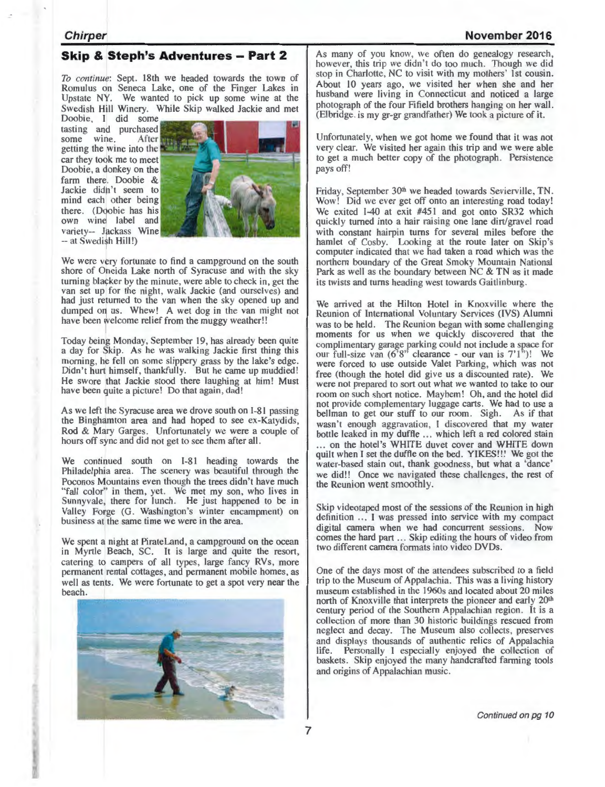#### **November 2016**

#### **Skip & Steph's Adventures - Part 2**

*To continue:* Sept. 18th we headed towards the town of Romulus on Seneca Lake, one of the Finger Lakes in Upstate NY. We wanted to pick up some wine at the Swedish Hill Winery. While Skip walked Jackie and met

Doobie, I did some tasting and purchased<br>some wine. After some wine. getting the wine into the car they took me to meet Doobie, a donkey on the farm there. Doobie & Jackie didn't seem to mind each other being there. (Doobie has his own wine label and variety-- Jackass Wine -- at Swedish Hill!)



We were very fortunate to find a campground on the south shore of Oneida Lake north of Syracuse and with the sky turning blacker by the minute, were able to check in, get the van set up for the night, walk Jackie (and ourselves) and had just returned to the van when the sky opened up and dumped on us. Whew! A wet dog in the van might not have been welcome relief from the muggy weather!!

Today being Monday, September 19, has already been quite a day for Skip. As he was walking Jackie first thing this morning, he fell on some slippery grass by the lake's edge. Didn't hurt himself, thankfully. But he came up muddied! He swore that Jackie stood there laughing at him! Must have been quite a picture! Do that again, dad!

As we left the Syracuse area we drove south on I-81 passing the Binghamton area and had hoped to see ex-Katydids, Rod & Mary Garges. Unfortunately we were a couple of hours off sync and did not get to see them after all.

We continued south on I-81 heading towards the Philadelphia area. The scenery was beautiful through the Poconos Mountains even though the trees didn't have much "fall color" in them, yet. We met my son, who lives in Sunnyvale, there for lunch. He just happened to be in Valley Forge (G. Washington's winter encampment) on business at the same time we were in the area.

We spent a night at PirateLand, a campground on the ocean in Myrtle Beach, SC. It is large and quite the resort, catering to campers of all types, large fancy RVs, more permanent rental cottages, and permanent mobile homes, as well as tents. We were fortunate to get a spot very near the beach.



As many of you know, we often do genealogy research, however, this trip we didn't do too much. Though we did stop in Charlotte, NC to visit with my mothers' 1st cousin . About 10 years ago, we visited her when she and her husband were living in Connecticut and noticed a large photograph of the four Fifield brothers hanging on her wall. (Elbridge. is my gr-gr grandfather) We took a picture of it.

Unfortunately, when we got home we found that it was not very clear. We visited her again this trip and we were able to get a much better copy of the photograph. Persistence pays off!

Friday, September 30<sup>th</sup> we headed towards Sevierville, TN. Wow! Did we ever get off onto an interesting road today! We exited I-40 at exit #451 and got onto SR32 which quickly turned into a hair raising one lane dirt/gravel road with constant hairpin turns for several miles before the hamlet of Cosby. Looking at the route later on Skip's computer indicated that we had taken a road which was the northern boundary of the Great Smoky Mountain National Park as well as the boundary between NC & TN as it made its twists and turns heading west towards Gaitlinburg.

We arrived at the Hilton Hotel in Knoxville where the Reunion of International Voluntary Services (IVS) Alumni was to be held. The Reunion began with some challenging moments for us when we quickly discovered that the complimentary garage parking could not include a pace for our full-size van  $(6'8'$  clearance - our van is  $7'1'$ <sup>"</sup>)! We were forced to use outside Valet Parking, which was not free (though the hotel did give us a discounted rate). We were not prepared to sort out what we wanted to take to our room on such short notice. Mayhem! Oh, and the hotel did not provide complementary luggage carts. We had to use a bellman to get our stuff to our room. Sigh. As if that wasn 't enough aggravation, I discovered that my water bottle leaked in my duffle ... which left a red colored stain on the hotel's WHITE duvet cover and WHITE down quilt when l set the duffle on the bed. Y!KES!!! We got the water-based stain out, thank goodness, but what a 'dance' we did!! Once we navigated these challenges, the rest of the Reunion went smoothly.

Skip videotaped most of the sessions of the Reunion in high definition ... I was pressed into service with my compact digital camera when we had concurrent sessions. Now comes the hard part ... Skip editing the hours of video from two different camera formats into video DVDs.

One of the days most of the attendees subscribed to a field trip to the Museum of Appalachia. This was a living history museum established in the 1960s and located about 20 miles north of Knoxville that interprets the pioneer and early 20<sup>th</sup> century period of the Southern Appalachian region. It is a collection of more than 30 historic buildings rescued from neglect and decay. The Museum also collects, preserves and displays thousands of authentic relics of Appalachia life. Personally I especially enjoyed the collection of baskets. Skip enjoyed the many handcrafted farming tools and origins of Appalachian music.

Continued on pg 10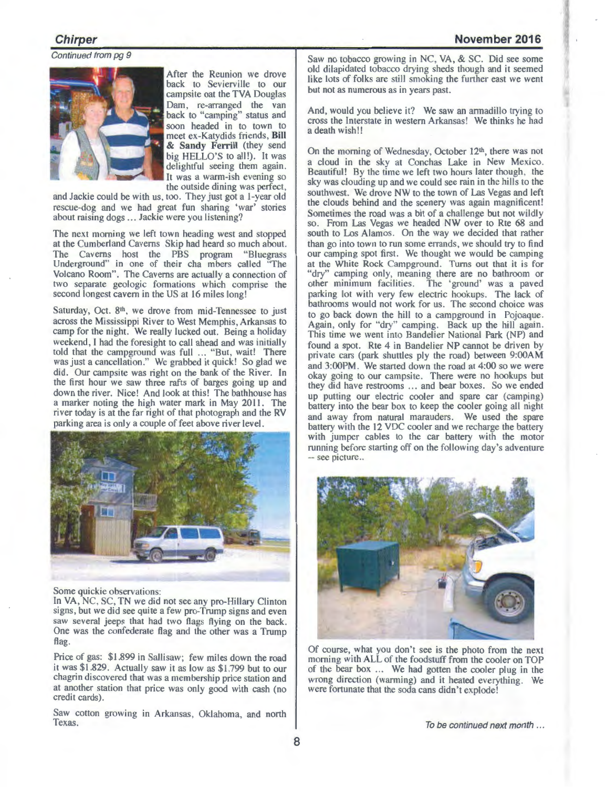Continued from pg 9



After the Reunion we drove back to Sevierville to our campsite oat the TVA Douglas Dam, re-arranged the van back to "camping" status and soon headed in to town to meet ex-Katydids friends, Bill & Sandy Ferrill (they send big HELLO'S to all!). It was delightful seeing them again. It was a warm-ish evening so the outside dining was perfect,

and Jackie could be with us, too. They just got a l-year old rescue-dog and we had great fun sharing 'war' stories about raising dogs ... Jackie were you listening?

The next morning we left town heading west and stopped at the Cumberland Caverns Skip had heard so much about. The Caverns host the PBS program "Bluegrass Underground" in one of their cha mbers called "The Volcano Room". The Caverns are actually a connection of two separate geologic formations which comprise the second longest cavern in the US at 16 miles long!

Saturday, Oct. 8<sup>th</sup>, we drove from mid-Tennessee to just across the Mississippi River to West Memphis, Arkansas to camp for the night. We really lucked out. Being a holiday weekend. I had the foresight to call ahead and was initially told that the campground was full ... "But, wait! There was just a cancellation." We grabbed it quick! So glad we did. Our campsite was right on the bank of the River. In the first hour we saw three rafts of barges going up and down the river. Nice! And look at this! The bathhouse has a marker noting the high water mark in May 2011. The river today is at the far right of that photograph and the RV



Some quickie observations:

In VA, NC, SC, TN we did not see any pro-Hillary Clinton signs, but we did see quite a few pro-Trump signs and even saw several jeeps that had two flags flying on the back. One was the confederate flag and the other was a Trump flag.

Price of gas: \$1.899 in Sallisaw; few miles down the road it was \$1.829. Actually saw it as low as \$1.799 but to our chagrin discovered that was a membership price station and at another station that price was only good with cash (no credit cards).

Saw cotton growing in Arkansas, Oklahoma, and north Texas.

Saw no tobacco growing in NC, VA, & SC. Did see some old dilapidated tobacco drying sheds though and it seemed like lots of folks are still smoking the further east we went but not as numerous as in years past.

And, would you believe it? We saw an armadillo trying to cross the Interstate in western Arkansas! We thinks he had a death wish!!

On the morning of Wednesday, October  $12<sup>th</sup>$ , there was not a cloud in the sky at Conchas Lake in New Mexico. Beautiful! By the time we left two hours later though, the sky was clouding up and we could see rain in the hills to the southwest. We drove NW to the town of Las Vegas and left the clouds behind and the scenery was again magnificent! Sometimes the road was a bit of a challenge but not wildly so. From Las Vegas we headed NW over to Rte 68 and south to Los Alamos. On the way we decided that rather than go into town to run some errands, we should try to find our camping spot first. We thought we would be camping at the White Rock Campground. Turns out that it is for "dry" camping only, meaning there are no bathroom or other minimum facilities. The 'ground' was a paved parking lot with very few electric hookups. The lack of bathrooms would not work for us. The second choice was to go back down the hill to a campground in Pojoaque . Again, only for "dry" camping. Back up the hill again. This time we went into Bandelier National Park (NP) and found a spot. Rte 4 in Bandelier NP cannot be driven by private cars (park shuttles ply the road) between 9:00AM and 3:00PM. We started down the road at 4:00 so we were okay going to our campsite. There were no hookups but they did have restrooms ... and bear boxes. So we ended up putting our electric cooler and spare car (camping) battery into the bear box to keep the cooler going all night and away from natural marauders. We used the spare battery with the 12 VDC cooler and we recharge the battery with jumper cables to the car battery with the motor running before starting off on the following day's adventure -- see picture...



Of course, what you don 't see is the photo from the next morning with ALL of the foodstuff from the cooler on TOP of the bear box ... We had gotten the cooler plug in the wrong direction (warming) and it heated everything. We were fortunate that the soda cans didn 't explode!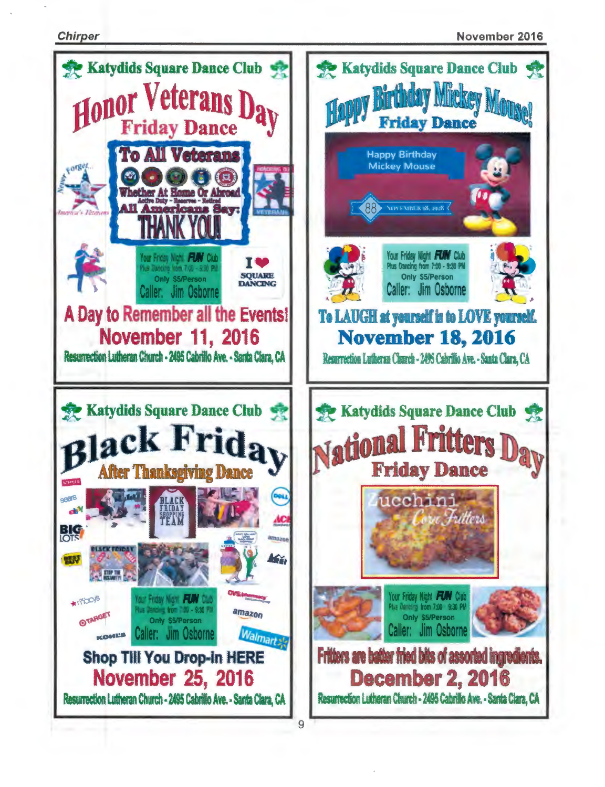